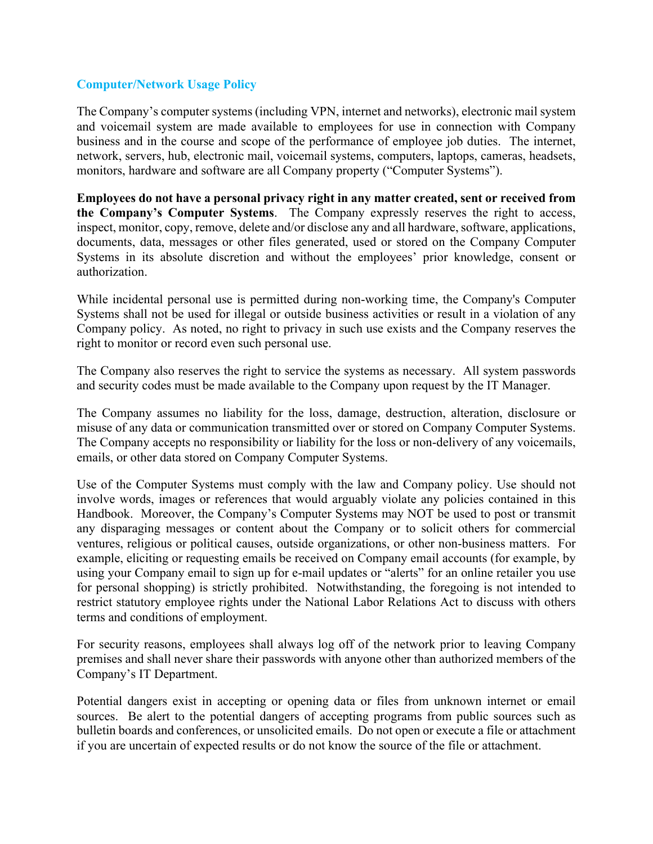## **Computer/Network Usage Policy**

The Company's computer systems (including VPN, internet and networks), electronic mail system and voicemail system are made available to employees for use in connection with Company business and in the course and scope of the performance of employee job duties. The internet, network, servers, hub, electronic mail, voicemail systems, computers, laptops, cameras, headsets, monitors, hardware and software are all Company property ("Computer Systems").

**Employees do not have a personal privacy right in any matter created, sent or received from the Company's Computer Systems**. The Company expressly reserves the right to access, inspect, monitor, copy, remove, delete and/or disclose any and all hardware, software, applications, documents, data, messages or other files generated, used or stored on the Company Computer Systems in its absolute discretion and without the employees' prior knowledge, consent or authorization.

While incidental personal use is permitted during non-working time, the Company's Computer Systems shall not be used for illegal or outside business activities or result in a violation of any Company policy. As noted, no right to privacy in such use exists and the Company reserves the right to monitor or record even such personal use.

The Company also reserves the right to service the systems as necessary. All system passwords and security codes must be made available to the Company upon request by the IT Manager.

The Company assumes no liability for the loss, damage, destruction, alteration, disclosure or misuse of any data or communication transmitted over or stored on Company Computer Systems. The Company accepts no responsibility or liability for the loss or non-delivery of any voicemails, emails, or other data stored on Company Computer Systems.

Use of the Computer Systems must comply with the law and Company policy. Use should not involve words, images or references that would arguably violate any policies contained in this Handbook. Moreover, the Company's Computer Systems may NOT be used to post or transmit any disparaging messages or content about the Company or to solicit others for commercial ventures, religious or political causes, outside organizations, or other non-business matters. For example, eliciting or requesting emails be received on Company email accounts (for example, by using your Company email to sign up for e-mail updates or "alerts" for an online retailer you use for personal shopping) is strictly prohibited. Notwithstanding, the foregoing is not intended to restrict statutory employee rights under the National Labor Relations Act to discuss with others terms and conditions of employment.

For security reasons, employees shall always log off of the network prior to leaving Company premises and shall never share their passwords with anyone other than authorized members of the Company's IT Department.

Potential dangers exist in accepting or opening data or files from unknown internet or email sources. Be alert to the potential dangers of accepting programs from public sources such as bulletin boards and conferences, or unsolicited emails. Do not open or execute a file or attachment if you are uncertain of expected results or do not know the source of the file or attachment.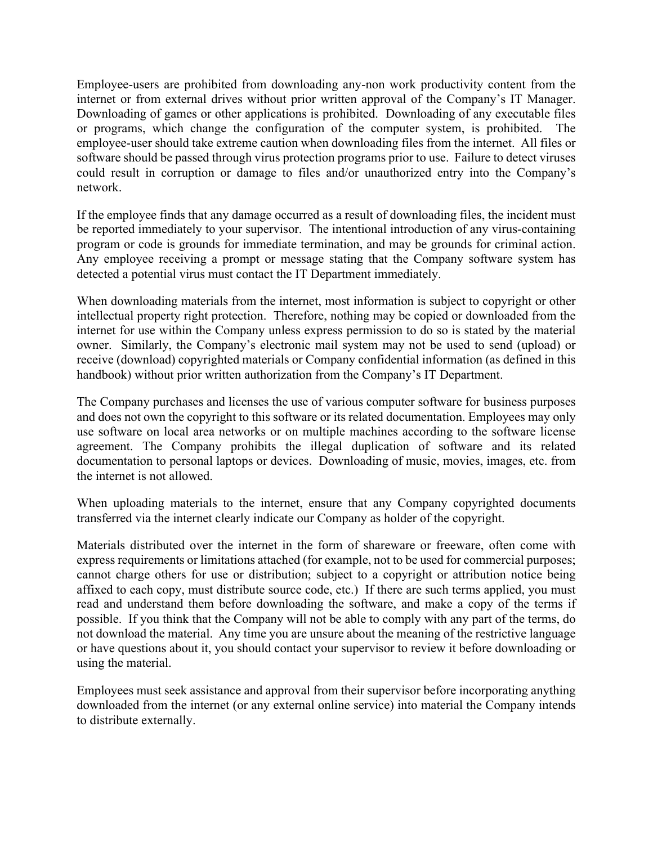Employee-users are prohibited from downloading any-non work productivity content from the internet or from external drives without prior written approval of the Company's IT Manager. Downloading of games or other applications is prohibited. Downloading of any executable files or programs, which change the configuration of the computer system, is prohibited. The employee-user should take extreme caution when downloading files from the internet. All files or software should be passed through virus protection programs prior to use. Failure to detect viruses could result in corruption or damage to files and/or unauthorized entry into the Company's network.

If the employee finds that any damage occurred as a result of downloading files, the incident must be reported immediately to your supervisor. The intentional introduction of any virus-containing program or code is grounds for immediate termination, and may be grounds for criminal action. Any employee receiving a prompt or message stating that the Company software system has detected a potential virus must contact the IT Department immediately.

When downloading materials from the internet, most information is subject to copyright or other intellectual property right protection. Therefore, nothing may be copied or downloaded from the internet for use within the Company unless express permission to do so is stated by the material owner. Similarly, the Company's electronic mail system may not be used to send (upload) or receive (download) copyrighted materials or Company confidential information (as defined in this handbook) without prior written authorization from the Company's IT Department.

The Company purchases and licenses the use of various computer software for business purposes and does not own the copyright to this software or its related documentation. Employees may only use software on local area networks or on multiple machines according to the software license agreement. The Company prohibits the illegal duplication of software and its related documentation to personal laptops or devices. Downloading of music, movies, images, etc. from the internet is not allowed.

When uploading materials to the internet, ensure that any Company copyrighted documents transferred via the internet clearly indicate our Company as holder of the copyright.

Materials distributed over the internet in the form of shareware or freeware, often come with express requirements or limitations attached (for example, not to be used for commercial purposes; cannot charge others for use or distribution; subject to a copyright or attribution notice being affixed to each copy, must distribute source code, etc.) If there are such terms applied, you must read and understand them before downloading the software, and make a copy of the terms if possible. If you think that the Company will not be able to comply with any part of the terms, do not download the material. Any time you are unsure about the meaning of the restrictive language or have questions about it, you should contact your supervisor to review it before downloading or using the material.

Employees must seek assistance and approval from their supervisor before incorporating anything downloaded from the internet (or any external online service) into material the Company intends to distribute externally.